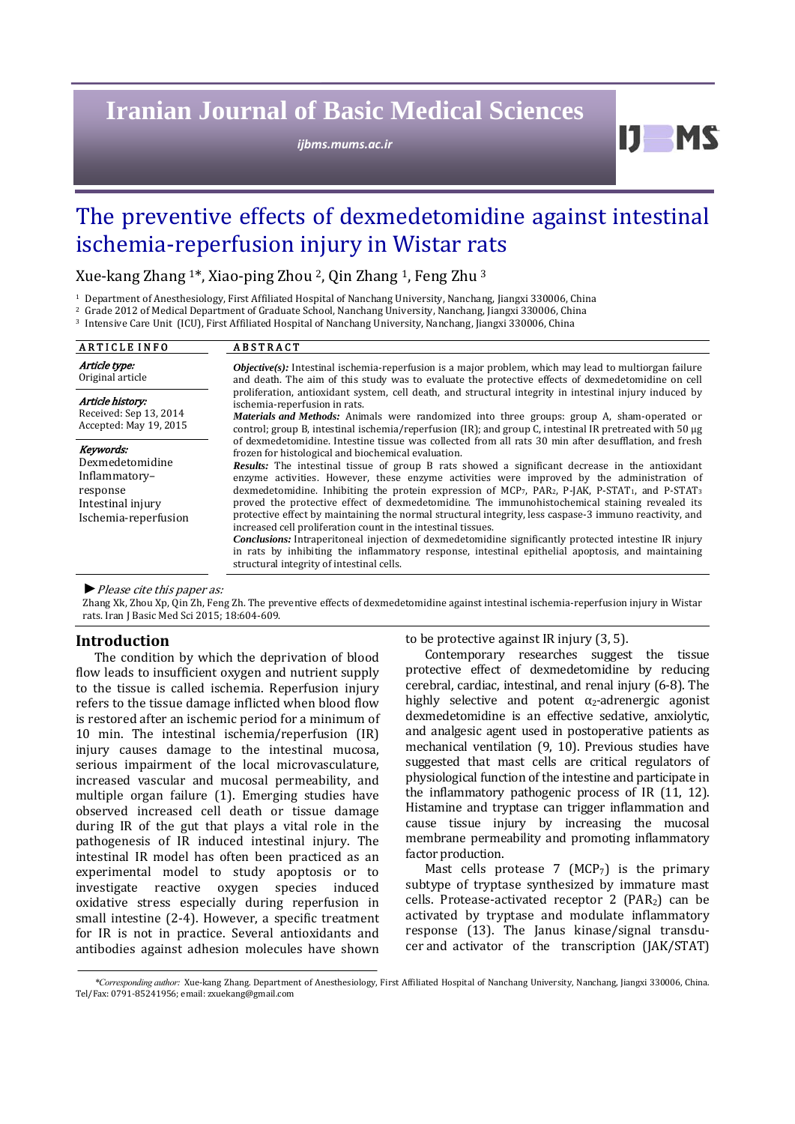# **Iranian Journal of Basic Medical Sciences**

*ijbms.mums.ac.ir*

The preventive effects of dexmedetomidine against intestinal ischemia-reperfusion injury in Wistar rats

Xue-kang Zhang  $1^*$ , Xiao-ping Zhou  $^2$ , Qin Zhang  $^1$ , Feng Zhu  $^3$ 

<sup>1</sup> Department of Anesthesiology, First Affiliated Hospital of Nanchang University, Nanchang, Jiangxi 330006, China

<sup>2</sup> Grade 2012 of Medical Department of Graduate School, Nanchang University, Nanchang, Jiangxi 330006, China

<sup>3</sup> Intensive Care Unit (ICU), First Affiliated Hospital of Nanchang University, Nanchang, Jiangxi 330006, China

| <b>ARTICLE INFO</b>                                                                                    | <b>ABSTRACT</b>                                                                                                                                                                                                                                                                                                                                                                                                                                                                                                                                                                                                                                                                                                                                                                                                                                                                                                                                                                                                                                                                                                                                                                                                                                                                                                                                                                                                                                                                                                                                                                                                                                       |
|--------------------------------------------------------------------------------------------------------|-------------------------------------------------------------------------------------------------------------------------------------------------------------------------------------------------------------------------------------------------------------------------------------------------------------------------------------------------------------------------------------------------------------------------------------------------------------------------------------------------------------------------------------------------------------------------------------------------------------------------------------------------------------------------------------------------------------------------------------------------------------------------------------------------------------------------------------------------------------------------------------------------------------------------------------------------------------------------------------------------------------------------------------------------------------------------------------------------------------------------------------------------------------------------------------------------------------------------------------------------------------------------------------------------------------------------------------------------------------------------------------------------------------------------------------------------------------------------------------------------------------------------------------------------------------------------------------------------------------------------------------------------------|
| Article type:<br>Original article                                                                      | <b><i>Objective(s)</i></b> : Intestinal ischemia-reperfusion is a major problem, which may lead to multiorgan failure<br>and death. The aim of this study was to evaluate the protective effects of dexmedetomidine on cell<br>proliferation, antioxidant system, cell death, and structural integrity in intestinal injury induced by<br>ischemia-reperfusion in rats.<br><i>Materials and Methods:</i> Animals were randomized into three groups: group A, sham-operated or<br>control; group B, intestinal ischemia/reperfusion (IR); and group C, intestinal IR pretreated with 50 µg<br>of dexmedetomidine. Intestine tissue was collected from all rats 30 min after desufflation, and fresh<br>frozen for histological and biochemical evaluation.<br>Results: The intestinal tissue of group B rats showed a significant decrease in the antioxidant<br>enzyme activities. However, these enzyme activities were improved by the administration of<br>dexmedetomidine. Inhibiting the protein expression of $MCP_7$ , PAR <sub>2</sub> , P-JAK, P-STAT <sub>1</sub> , and P-STAT <sub>3</sub><br>proved the protective effect of dexmedetomidine. The immunohistochemical staining revealed its<br>protective effect by maintaining the normal structural integrity, less caspase-3 immuno reactivity, and<br>increased cell proliferation count in the intestinal tissues.<br><b>Conclusions:</b> Intraperitoneal injection of dexmedetomidine significantly protected intestine IR injury<br>in rats by inhibiting the inflammatory response, intestinal epithelial apoptosis, and maintaining<br>structural integrity of intestinal cells. |
| Article history:<br>Received: Sep 13, 2014<br>Accepted: May 19, 2015                                   |                                                                                                                                                                                                                                                                                                                                                                                                                                                                                                                                                                                                                                                                                                                                                                                                                                                                                                                                                                                                                                                                                                                                                                                                                                                                                                                                                                                                                                                                                                                                                                                                                                                       |
| Keywords:<br>Dexmedetomidine<br>Inflammatory-<br>response<br>Intestinal injury<br>Ischemia-reperfusion |                                                                                                                                                                                                                                                                                                                                                                                                                                                                                                                                                                                                                                                                                                                                                                                                                                                                                                                                                                                                                                                                                                                                                                                                                                                                                                                                                                                                                                                                                                                                                                                                                                                       |

▶ Please cite this paper as:

Zhang Xk, Zhou Xp, Qin Zh, Feng Zh. The preventive effects of dexmedetomidine against intestinal ischemia-reperfusion injury in Wistar rats. Iran J Basic Med Sci 2015; 18:604-609.

## **Introduction**

The condition by which the deprivation of blood flow leads to insufficient oxygen and nutrient supply to the tissue is called ischemia. Reperfusion injury refers to the tissue damage inflicted when blood flow is restored after an ischemic period for a minimum of 10 min. The intestinal ischemia/reperfusion (IR) injury causes damage to the intestinal mucosa, serious impairment of the local microvasculature, increased vascular and mucosal permeability, and multiple organ failure (1). Emerging studies have observed increased cell death or tissue damage during IR of the gut that plays a vital role in the pathogenesis of IR induced intestinal injury. The intestinal IR model has often been practiced as an experimental model to study apoptosis or to investigate reactive oxygen species induced oxidative stress especially during reperfusion in small intestine  $(2-4)$ . However, a specific treatment for IR is not in practice. Several antioxidants and antibodies against adhesion molecules have shown to be protective against IR injury  $(3, 5)$ .

Contemporary researches suggest the tissue protective effect of dexmedetomidine by reducing cerebral, cardiac, intestinal, and renal injury (6-8). The highly selective and potent  $\alpha_2$ -adrenergic agonist dexmedetomidine is an effective sedative, anxiolytic, and analgesic agent used in postoperative patients as mechanical ventilation (9, 10). Previous studies have suggested that mast cells are critical regulators of physiological function of the intestine and participate in the inflammatory pathogenic process of IR  $(11, 12)$ . Histamine and tryptase can trigger inflammation and cause tissue injury by increasing the mucosal membrane permeability and promoting inflammatory factor production.

 $I$  MS

Mast cells protease 7 (MCP<sub>7</sub>) is the primary subtype of tryptase synthesized by immature mast cells. Protease-activated receptor  $2$  (PAR<sub>2</sub>) can be activated by tryptase and modulate inflammatory response (13). The Janus kinase/signal transducer and activator of the transcription (JAK/STAT)

<sup>\*</sup>Corresponding author: Xue‐kang Zhang, Department of Anesthesiology, First Affiliated Hospital of Nanchang University, Nanchang, Jiangxi 330006, China. Tel/Fax: 0791-85241956; email: zxuekang@gmail.com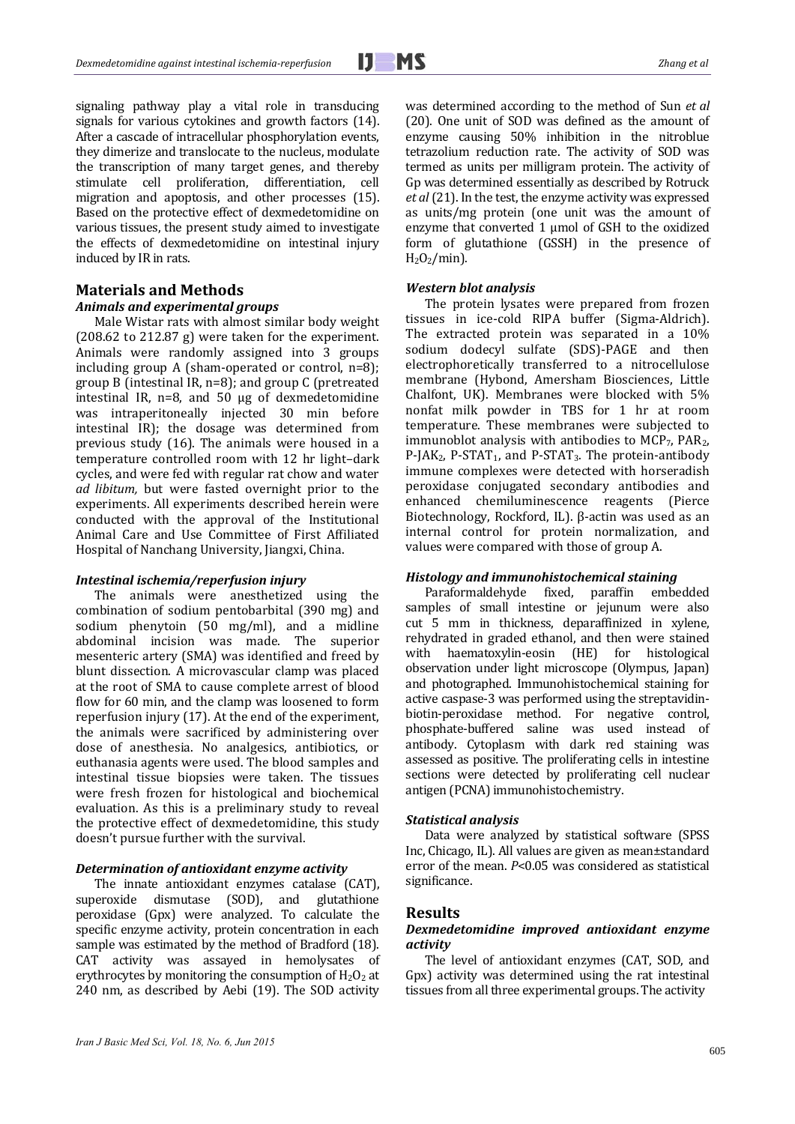signaling pathway play a vital role in transducing signals for various cytokines and growth factors (14). After a cascade of intracellular phosphorylation events, they dimerize and translocate to the nucleus, modulate the transcription of many target genes, and thereby stimulate cell proliferation, differentiation, cell migration and apoptosis, and other processes (15). Based on the protective effect of dexmedetomidine on various tissues, the present study aimed to investigate the effects of dexmedetomidine on intestinal injury induced by IR in rats.

# **Materials and Methods**

#### *Animals and experimental groups*

Male Wistar rats with almost similar body weight  $(208.62 \text{ to } 212.87 \text{ g})$  were taken for the experiment. Animals were randomly assigned into 3 groups including group A (sham-operated or control,  $n=8$ ); group B (intestinal IR,  $n=8$ ); and group C (pretreated intestinal IR,  $n=8$ , and  $50 \mu g$  of dexmedetomidine was intraperitoneally injected 30 min before intestinal IR); the dosage was determined from previous study  $(16)$ . The animals were housed in a temperature controlled room with 12 hr light-dark cycles, and were fed with regular rat chow and water *ad libitum*, but were fasted overnight prior to the experiments. All experiments described herein were conducted with the approval of the Institutional Animal Care and Use Committee of First Affiliated Hospital of Nanchang University, Jiangxi, China.

#### *Intestinal ischemia/reperfusion injury*

The animals were anesthetized using the combination of sodium pentobarbital (390 mg) and sodium phenytoin (50 mg/ml), and a midline abdominal incision was made. The superior mesenteric artery (SMA) was identified and freed by blunt dissection. A microvascular clamp was placed at the root of SMA to cause complete arrest of blood flow for 60 min, and the clamp was loosened to form reperfusion injury  $(17)$ . At the end of the experiment, the animals were sacrificed by administering over dose of anesthesia. No analgesics, antibiotics, or euthanasia agents were used. The blood samples and intestinal tissue biopsies were taken. The tissues were fresh frozen for histological and biochemical evaluation. As this is a preliminary study to reveal the protective effect of dexmedetomidine, this study doesn't pursue further with the survival.

## *Determination of antioxidant enzyme activity*

The innate antioxidant enzymes catalase (CAT), superoxide dismutase (SOD), and glutathione peroxidase (Gpx) were analyzed. To calculate the specific enzyme activity, protein concentration in each sample was estimated by the method of Bradford (18). CAT activity was assayed in hemolysates of erythrocytes by monitoring the consumption of  $H_2O_2$  at 240 nm, as described by Aebi (19). The SOD activity was determined according to the method of Sun *et al* (20). One unit of SOD was defined as the amount of enzyme causing 50% inhibition in the nitroblue tetrazolium reduction rate. The activity of SOD was termed as units per milligram protein. The activity of Gp was determined essentially as described by Rotruck *et al* (21). In the test, the enzyme activity was expressed as units/mg protein (one unit was the amount of enzyme that converted 1 µmol of GSH to the oxidized form of glutathione (GSSH) in the presence of  $H<sub>2</sub>O<sub>2</sub>/min$ ).

#### *Western blot analysis*

The protein lysates were prepared from frozen tissues in ice-cold RIPA buffer (Sigma-Aldrich). The extracted protein was separated in a  $10\%$ sodium dodecyl sulfate (SDS)-PAGE and then electrophoretically transferred to a nitrocellulose membrane (Hybond, Amersham Biosciences, Little Chalfont, UK). Membranes were blocked with  $5\%$ nonfat milk powder in TBS for 1 hr at room temperature. These membranes were subjected to immunoblot analysis with antibodies to  $MCP_7$ ,  $PAR_2$ , P-JAK<sub>2</sub>, P-STAT<sub>1</sub>, and P-STAT<sub>3</sub>. The protein-antibody immune complexes were detected with horseradish peroxidase conjugated secondary antibodies and enhanced chemiluminescence reagents (Pierce Biotechnology, Rockford, IL).  $\beta$ -actin was used as an internal control for protein normalization, and values were compared with those of group A.

## *Histology and immunohistochemical staining*

Paraformaldehyde fixed, paraffin embedded samples of small intestine or jejunum were also cut 5 mm in thickness, deparaffinized in xylene, rehydrated in graded ethanol, and then were stained with haematoxylin-eosin (HE) for histological observation under light microscope (Olympus, Japan) and photographed. Immunohistochemical staining for active caspase-3 was performed using the streptavidinbiotin-peroxidase method. For negative control, phosphate-buffered saline was used instead of antibody. Cytoplasm with dark red staining was assessed as positive. The proliferating cells in intestine sections were detected by proliferating cell nuclear antigen (PCNA) immunohistochemistry.

#### *Statistical analysis*

Data were analyzed by statistical software (SPSS Inc, Chicago, IL). All values are given as mean±standard error of the mean. *P*<0.05 was considered as statistical significance. 

#### **Results**

#### *Dexmedetomidine improved antioxidant enzyme activity*

The level of antioxidant enzymes (CAT, SOD, and Gpx) activity was determined using the rat intestinal tissues from all three experimental groups. The activity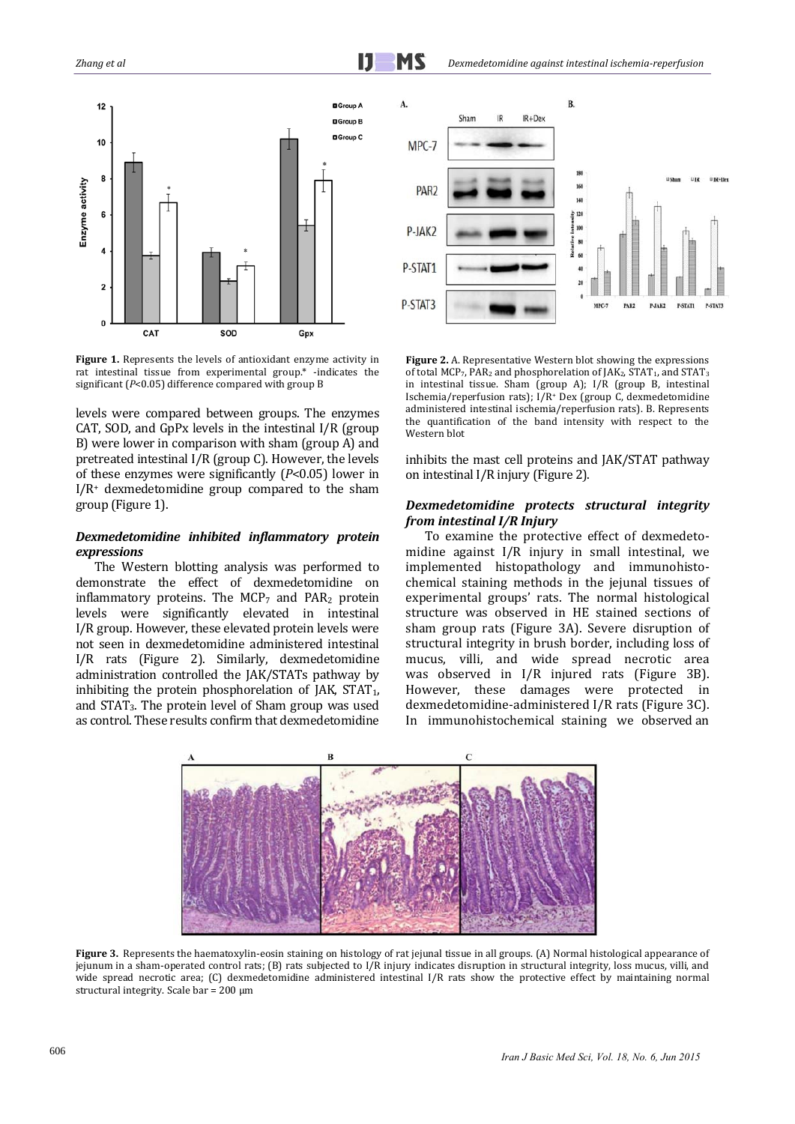

**Figure 1.** Represents the levels of antioxidant enzyme activity in rat intestinal tissue from experimental group.\* -indicates the significant (P<0.05) difference compared with group B

levels were compared between groups. The enzymes CAT, SOD, and GpPx levels in the intestinal  $I/R$  (group B) were lower in comparison with sham (group A) and pretreated intestinal  $I/R$  (group C). However, the levels of these enzymes were significantly  $(P<0.05)$  lower in  $I/R<sup>+</sup>$  dexmedetomidine group compared to the sham group (Figure 1).

## *Dexmedetomidine inhibited inflammatory protein expressions*

The Western blotting analysis was performed to demonstrate the effect of dexmedetomidine on inflammatory proteins. The  $MCP_7$  and  $PAR_2$  protein levels were significantly elevated in intestinal I/R group. However, these elevated protein levels were not seen in dexmedetomidine administered intestinal I/R rats (Figure 2). Similarly, dexmedetomidine administration controlled the IAK/STATs pathway by inhibiting the protein phosphorelation of  $IAK$ ,  $STAT<sub>1</sub>$ , and  $STAT<sub>3</sub>$ . The protein level of Sham group was used as control. These results confirm that dexmedetomidine



**Figure 2.** A. Representative Western blot showing the expressions of total MCP7, PAR<sub>2</sub> and phosphorelation of JAK<sub>2</sub>, STAT<sub>1</sub>, and STAT<sub>3</sub> in intestinal tissue. Sham (group A); I/R (group B, intestinal Ischemia/reperfusion rats);  $I/R$ <sup>+</sup> Dex (group C, dexmedetomidine administered intestinal ischemia/reperfusion rats). B. Represents the quantification of the band intensity with respect to the Western blot

inhibits the mast cell proteins and JAK/STAT pathway on intestinal I/R injury (Figure 2).

## *Dexmedetomidine protects structural integrity from intestinal I/R Injury*

To examine the protective effect of dexmedetomidine against I/R injury in small intestinal, we implemented histopathology and immunohistochemical staining methods in the jejunal tissues of experimental groups' rats. The normal histological structure was observed in HE stained sections of sham group rats (Figure 3A). Severe disruption of structural integrity in brush border, including loss of mucus, villi, and wide spread necrotic area was observed in I/R injured rats (Figure 3B). However, these damages were protected in dexmedetomidine-administered I/R rats (Figure 3C). In immunohistochemical staining we observed an



**Figure** 3. Represents the haematoxylin-eosin staining on histology of rat jejunal tissue in all groups. (A) Normal histological appearance of jejunum in a sham-operated control rats; (B) rats subjected to I/R injury indicates disruption in structural integrity, loss mucus, villi, and wide spread necrotic area;  $(C)$  dexmedetomidine administered intestinal  $I/R$  rats show the protective effect by maintaining normal structural integrity. Scale bar =  $200 \mu m$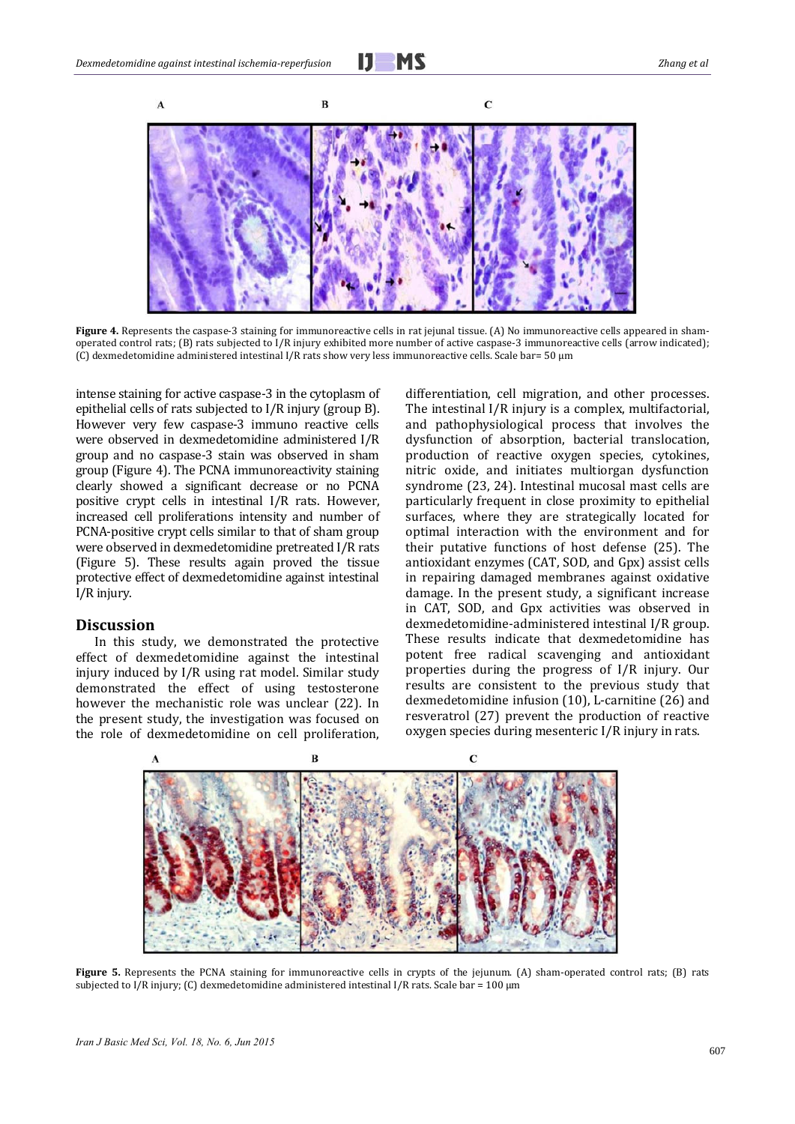

**Figure** 4. Represents the caspase-3 staining for immunoreactive cells in rat jejunal tissue. (A) No immunoreactive cells appeared in shamoperated control rats; (B) rats subjected to I/R injury exhibited more number of active caspase-3 immunoreactive cells (arrow indicated); (C) dexmedetomidine administered intestinal I/R rats show very less immunoreactive cells. Scale bar= 50 µm

intense staining for active caspase-3 in the cytoplasm of epithelial cells of rats subjected to  $I/R$  injury (group  $B$ ). However very few caspase-3 immuno reactive cells were observed in dexmedetomidine administered I/R group and no caspase-3 stain was observed in sham group (Figure 4). The PCNA immunoreactivity staining clearly showed a significant decrease or no PCNA positive crypt cells in intestinal I/R rats. However, increased cell proliferations intensity and number of PCNA-positive crypt cells similar to that of sham group were observed in dexmedetomidine pretreated I/R rats (Figure 5). These results again proved the tissue protective effect of dexmedetomidine against intestinal I/R injury.

#### **Discussion**

In this study, we demonstrated the protective effect of dexmedetomidine against the intestinal injury induced by I/R using rat model. Similar study demonstrated the effect of using testosterone however the mechanistic role was unclear (22). In the present study, the investigation was focused on the role of dexmedetomidine on cell proliferation, differentiation, cell migration, and other processes. The intestinal I/R injury is a complex, multifactorial, and pathophysiological process that involves the dysfunction of absorption, bacterial translocation, production of reactive oxygen species, cytokines, nitric oxide, and initiates multiorgan dysfunction syndrome (23, 24). Intestinal mucosal mast cells are particularly frequent in close proximity to epithelial surfaces, where they are strategically located for optimal interaction with the environment and for their putative functions of host defense (25). The antioxidant enzymes (CAT, SOD, and Gpx) assist cells in repairing damaged membranes against oxidative damage. In the present study, a significant increase in CAT, SOD, and Gpx activities was observed in dexmedetomidine-administered intestinal I/R group. These results indicate that dexmedetomidine has potent free radical scavenging and antioxidant properties during the progress of I/R injury. Our results are consistent to the previous study that dexmedetomidine infusion  $(10)$ , L-carnitine  $(26)$  and resveratrol (27) prevent the production of reactive oxygen species during mesenteric I/R injury in rats.



**Figure** 5. Represents the PCNA staining for immunoreactive cells in crypts of the jejunum. (A) sham-operated control rats; (B) rats subjected to I/R injury; (C) dexmedetomidine administered intestinal I/R rats. Scale bar = 100  $\mu$ m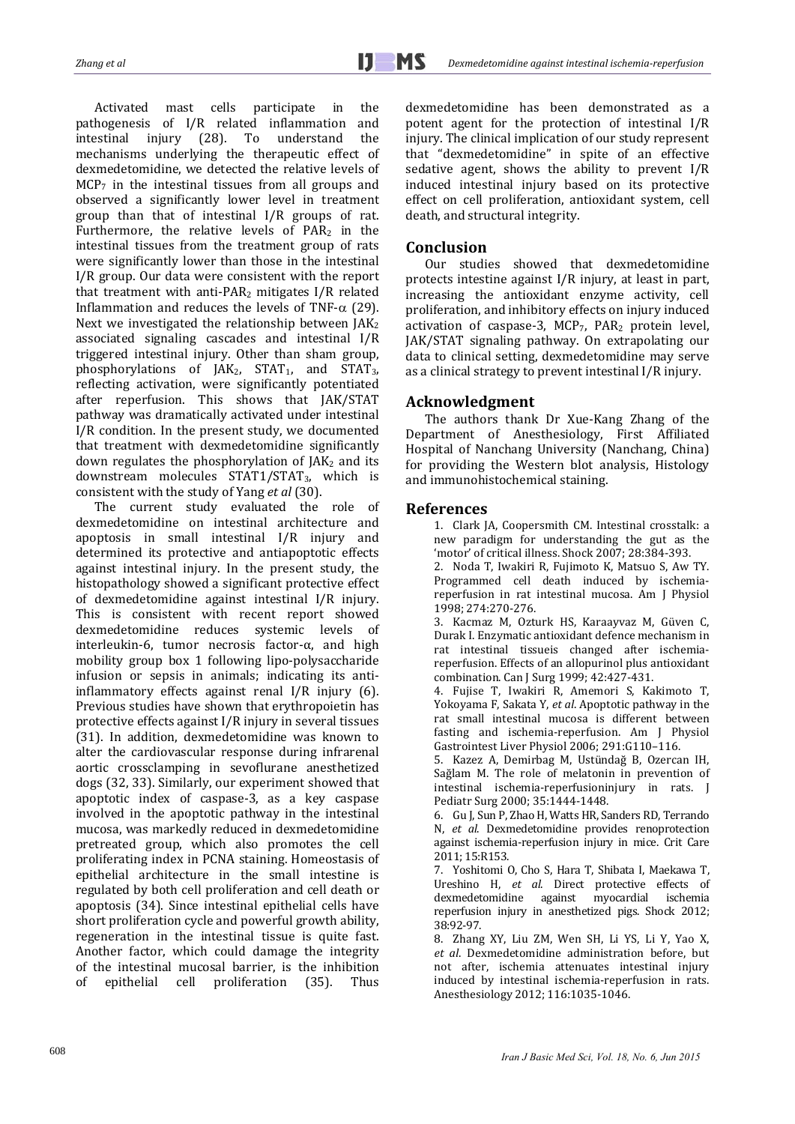Activated mast cells participate in the pathogenesis of I/R related inflammation and intestinal injury (28). To understand the mechanisms underlying the therapeutic effect of dexmedetomidine, we detected the relative levels of  $MCP<sub>7</sub>$  in the intestinal tissues from all groups and observed a significantly lower level in treatment group than that of intestinal  $I/R$  groups of rat. Furthermore, the relative levels of  $PAR<sub>2</sub>$  in the intestinal tissues from the treatment group of rats were significantly lower than those in the intestinal I/R group. Our data were consistent with the report that treatment with anti-PAR<sub>2</sub> mitigates  $I/R$  related Inflammation and reduces the levels of TNF- $\alpha$  (29). Next we investigated the relationship between  $IAK<sub>2</sub>$ associated signaling cascades and intestinal I/R triggered intestinal injury. Other than sham group, phosphorylations of JAK<sub>2</sub>, STAT<sub>1</sub>, and STAT<sub>3</sub>, reflecting activation, were significantly potentiated after reperfusion. This shows that JAK/STAT pathway was dramatically activated under intestinal  $I/R$  condition. In the present study, we documented that treatment with dexmedetomidine significantly down regulates the phosphorylation of  $IAK<sub>2</sub>$  and its downstream molecules STAT1/STAT<sub>3</sub>, which is consistent with the study of Yang *et al* (30).

The current study evaluated the role of dexmedetomidine on intestinal architecture and apoptosis in small intestinal  $I/R$  injury and determined its protective and antiapoptotic effects against intestinal injury. In the present study, the histopathology showed a significant protective effect of dexmedetomidine against intestinal I/R injury. This is consistent with recent report showed dexmedetomidine reduces systemic levels of interleukin-6, tumor necrosis factor- $\alpha$ , and high mobility group box 1 following lipo-polysaccharide infusion or sepsis in animals; indicating its antiinflammatory effects against renal  $I/R$  injury (6). Previous studies have shown that erythropoietin has protective effects against  $I/R$  injury in several tissues (31). In addition, dexmedetomidine was known to alter the cardiovascular response during infrarenal aortic crossclamping in sevoflurane anesthetized dogs (32, 33). Similarly, our experiment showed that apoptotic index of caspase-3, as a key caspase involved in the apoptotic pathway in the intestinal mucosa, was markedly reduced in dexmedetomidine pretreated group, which also promotes the cell proliferating index in PCNA staining. Homeostasis of epithelial architecture in the small intestine is regulated by both cell proliferation and cell death or apoptosis (34). Since intestinal epithelial cells have short proliferation cycle and powerful growth ability, regeneration in the intestinal tissue is quite fast. Another factor, which could damage the integrity of the intestinal mucosal barrier, is the inhibition of epithelial cell proliferation (35). Thus 

dexmedetomidine has been demonstrated as a potent agent for the protection of intestinal  $I/R$ injury. The clinical implication of our study represent that "dexmedetomidine" in spite of an effective sedative agent, shows the ability to prevent  $I/R$ induced intestinal injury based on its protective effect on cell proliferation, antioxidant system, cell death, and structural integrity.

# **Conclusion**

Our studies showed that dexmedetomidine protects intestine against I/R injury, at least in part, increasing the antioxidant enzyme activity, cell proliferation, and inhibitory effects on injury induced activation of caspase-3, MCP<sub>7</sub>, PAR<sub>2</sub> protein level, JAK/STAT signaling pathway. On extrapolating our data to clinical setting, dexmedetomidine may serve as a clinical strategy to prevent intestinal I/R injury.

# **Acknowledgment**

The authors thank Dr Xue-Kang Zhang of the Department of Anesthesiology, First Affiliated Hospital of Nanchang University (Nanchang, China) for providing the Western blot analysis, Histology and immunohistochemical staining.

# **References**

1. Clark JA, Coopersmith CM. Intestinal crosstalk: a new paradigm for understanding the gut as the 'motor' of critical illness. Shock 2007; 28:384-393.

2. Noda T, Iwakiri R, Fujimoto K, Matsuo S, Aw TY. Programmed cell death induced by ischemiareperfusion in rat intestinal mucosa. Am J Physiol 1998; 274:270‐276. 

3. Kacmaz M, Ozturk HS, Karaayvaz M, Güven C, Durak I. Enzymatic antioxidant defence mechanism in rat intestinal tissueis changed after ischemiareperfusion. Effects of an allopurinol plus antioxidant combination. Can J Surg 1999; 42:427-431.

4. Fujise T, Iwakiri R, Amemori S, Kakimoto T, Yokoyama F, Sakata Y, *et al*. Apoptotic pathway in the rat small intestinal mucosa is different between fasting and ischemia-reperfusion. Am J Physiol Gastrointest Liver Physiol 2006; 291:G110-116.

5. Kazez A, Demirbag M, Ustündağ B, Ozercan IH, Sağlam M. The role of melatonin in prevention of intestinal ischemia-reperfusioninjury in rats. I Pediatr Surg 2000; 35:1444-1448.

6. Gu J, Sun P, Zhao H, Watts HR, Sanders RD, Terrando N, et al. Dexmedetomidine provides renoprotection against ischemia-reperfusion injury in mice. Crit Care 2011: 15:R153.

7. Yoshitomi O, Cho S, Hara T, Shibata I, Maekawa T, Ureshino H, et al. Direct protective effects of dexmedetomidine against myocardial ischemia reperfusion injury in anesthetized pigs. Shock 2012; 38:92‐97. 

8. Zhang XY, Liu ZM, Wen SH, Li YS, Li Y, Yao X, *et al*. Dexmedetomidine administration before, but not after, ischemia attenuates intestinal injury induced by intestinal ischemia-reperfusion in rats. Anesthesiology 2012; 116:1035-1046.